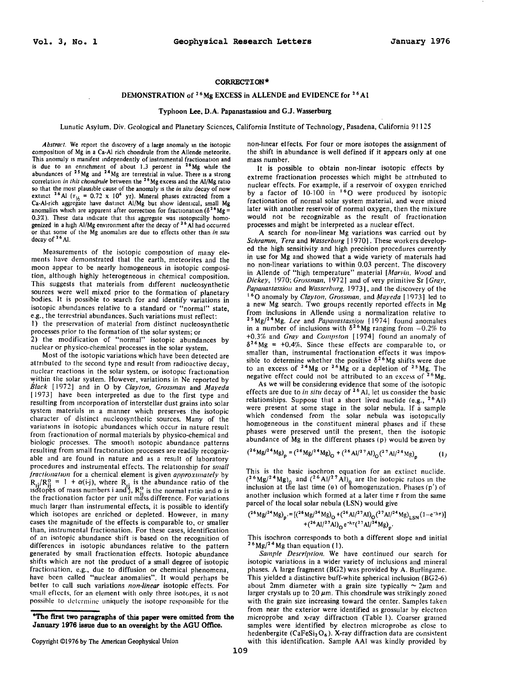## **CORRECTION\***

## **DEMONSTRATION of 26 Mg EXCESS in ALLENDE and EVIDENCE for 26 AI**

## **Typhoon Lee, D.A. Papanastassiou and G.J. Wasserburg**

Lunutic Asylum, Div. Geological and Planetary Sciences, California Institute of Technology, Pasadena, California 91125

*Abstract.* We report the discovery of a large anomaly m the isotopic composition of Mg in a Ca·AI rich chondrule from the Allende meteorite. This anomaly is manifest independently of instrumental fractionation and is due to an enrichment of about 1.3 percent in <sup>26</sup>Mg while the abundances of <sup>25</sup>Mg and <sup>24</sup>Mg are terrestrial in value. There is a strong correlation *in this chondntle* between the <sup>26</sup> Mg excess and the AI/Mg ratio so that the most plausible cause of the anomaly IS the *in situ* decay of now extinct <sup>26</sup> Al  $(\tau_{12} = 0.72 \times 10^6 \text{ yr})$ . Mineral phases extracted from a Ca-Al-rich aggregate have distinct Al/Mg but show identical, small Mg anomalies which are apparent after correction for fractionation ( $\delta^{26}Mg =$ 0.3%). These data indicate that this aggregate was isotopically homogenized in a high Al/Mg environment after the decay of <sup>26</sup> Al had occurred or that some of the Mg anomalies are due to effects other than *in situ*  decay of 26 AI.

Measurements of the isotopic composttion of many elements have demonstrated that the earth, meteorites and the moon appear to be nearly homogeneous in isotopic composition, although highly heterogeneous in chemical composition. This suggests that materials from different nucleosynthetic sources were well mixed prior to the formation of planetary bodies. It is possible to search for and identify variations in isotopic abundances relative to a standard or "normal" state, e.g., the terrestrial abundances. Such variations must reflect: I) the preservation of material from distinct nucleosynthetic processes prior to the formation of the solur system; or

2) the modification of "normal" isotopic abundances by nuclear or physico-chemical processes in the solar system.

Most of the isotopic variations which have been detected are attnbuted to the second type and result from radioactive decay, nuclear reactions in the solar system, or isotopic fractionation within the solar system. However, variations in Ne reported by *Black* [ 1972] and in 0 by *Clayton, Grossman* and *Mayeda*  [1973] have been interpreted as due to the first type and resulting from mcorporation of interstellar dust grains into solar system materials m a manner which preserves the isotopic character of distinct nucleosynthetic sources. Many of the variations in isotopic abundances which occur in nature result from fractionation of normal materials by physico-chemical and biologic processes. The smooth Isotopic abundance patterns resulting from small fractionation processes are readily recognizable and are found in nature and as a result of laboratory procedures and instrumental effects. The relattonship for *small fractionation* for a chemical element is given *approximately* by  $_{i}/R_{ii}^{0}$  = 1 +  $\alpha(i-j)$ , where R<sub>i</sub> is the abundance ratio of the  $\frac{1}{2}$  of mass numbers i and 1,  $R_{11}^0$  is the normal ratio and  $\alpha$  is the fractionation factor per unit mass difference. For variations much larger than instrumental effects, it is possible to identify which isotopes are enriched or depleted. However, in many cases the magnitude of the effects is comparable to, or smaller than, instrumental fractionation. For these cases, identification of an isotopic abundance shift is based on the recognition of differences in isotopic abundances relative to the pattern generated by small fractionation effects. Isotopic abundance shifts which are not the product of a small degree of isotopic fractionation, e.g., due to diffusion or chemical phenomena, have been called "nuclear anomalies". It would perhaps be better to call such variations *non-linear* isotopic effects. For small effects, for an element with only three isotopes, it is not possible to determine uniquely the isotope responsible for the

non-linear effects. For four or more isotopes the assignment of the shift in abundance is well defined if it appears only at one mass number.

It is possible to obtain non-linear isotopic effects by extreme fractionation processes which might be attrrhuted to nuclear effects. For example, if a reservoir of oxygen enriched by a factor of 10-100 in <sup>16</sup>O were produced by isotopic fractionation of normal solar system material, and were mixed later with another reservoir of normal oxygen, then the mixture would not be recognizable as the result of fractionation processes and might be interpreted as a nuclear effect.

A search for non-linear Mg variations was carried out by *Schramm. Tera* and *Wasserburg* [ 1970]. These workers developed the high sensitivity and high precision procedures currently in use for Mg and showed that a wide variety of matenals had no non-linear variations to within 0.03 percent. The discovery in Allende of "high temperature" material *[Marvin. Wood* and *Dickey,* 1970; *Grossman,* 1972] and of very primitive Sr *[Gray,*  <sup>16</sup>O anomaly by *Clayton, Grossman, and Mayeda* [ 1973] led to a new Mg search. Two groups recently reported effects in Mg from inclusions in Allende using a normalization relative to 25 Mg/ <sup>24</sup> Mg. *Lee* and *Papanastassiuu* [ 1974[ found anomalies in a number of inclusions with  $\delta^{26}$ Mg ranging from  $-0.2\%$  to +0.3% and *Gray* and *Cumpston* [ 1974] found an anomaly of  $\delta^{26}$  Mg = +0.4%. Since these effects are comparable to, or smaller than, instrumental fractionation effects it was impossible to determine whether the positive  $\delta^{26}$  Mg shifts were due to an excess of  $24Mg$  or  $26Mg$  or a depletion of  $25Mg$ . The negative effect could not be attributed to an excess of  $26$  Mg.

As we will be considering evidence that some of the isotopic effects are due to *in situ* decay of 2 6 AI, let us consider the basic relationships. Suppose that a short lived nuclide (e.g.,  $26$  Al) were present at some stage in the solar nebula. If a sample which condensed from the solar nebula was isotopically homogeneous in the constituent mineral phases and if these phases were preserved until the present, then the isotopic abundance of Mg in the different phases (p) would be given by

$$
(^{26}Mg)^{24}Mgp = (^{26}Mg)^{24}MgO + (^{26}Al)^{27}AlO(^{27}Al)^{24}Mgp
$$
 (1)

This is the basic isochron equation for an extinct nuclide.<br> $(^{26}Mg)^{24}Mg)_{0}$  and  $(^{26}A1/^{27}A1)_{0}$  are the isotopic ratios in the inclusion at the last time (0) of homogenization. Phases (p') of another inclusion which formed at a later time  $\tau$  from the same parcel of the local solar nebula (LSN) would give

$$
({^{26}Mg}/{^{24}Mg})_p = [({^{26}Mg}/{^{24}Mg})_Q + ({^{26}Al}/{^{27}Al})_Q({^{27}Al}/{^{24}Mg})_{LSN}(1-e^{-\lambda\tau})] + ({^{26}Al}/{^{27}Al})_Qe^{-\lambda\tau}({^{27}Al}/{^{24}Mg})_{\gamma'}
$$

This isochron corresponds to both a different slope and initial  $26$  Mg/<sup>24</sup> Mg than equation (1).

*Sample Description.* We have continued our search for isotopic variations in a wider variety of inclusions and mineral phases. A large fragment (BG2) was provided by A. Burlingame. This yielded a distinctive buff-white spherical inclusion (BG2-6) about 2mm diameter with a grain size typically  $\sim$  2 $\mu$ m and larger crystals up to  $20 \mu m$ . This chondrule was strikingly zoned with the grain size increasing toward the center. Samples taken from near the exterior were identified as grossular by electron microprobe and x-ray diffraction (Table I). Coarser gramed samples were identified by electron microprobe as close to hedenbergite (CaFeSi<sub>2</sub>O<sub>6</sub>). X-ray diffraction data are consistent with this identification. Sample AAI was kindly provided by

**<sup>\*</sup>The first two paragraphs of this paper were omitted from the January 1976 issue due to an oversight by the AGU Office.** 

Copyright ©1976 by The American Geophysical Union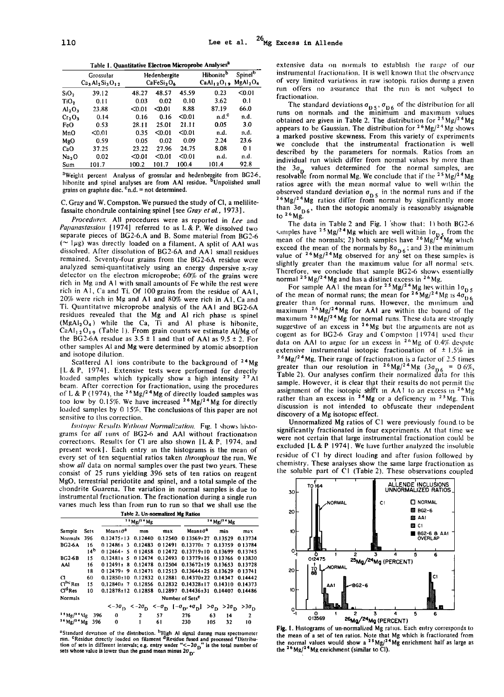Table 1. Quantitative Electron Microprobe Analyses<sup>2</sup>

|                                | Grossular<br>$Ca3Al2Si3O12$ |        | Hedenbergite<br>CaFeSi <sub>2</sub> O <sub>6</sub> |        | Hibonite <sup>b</sup><br>CaAl <sub>12</sub> O <sub>19</sub> | Spinel <sup>b</sup><br>MgAl <sub>2</sub> O <sub>4</sub> |
|--------------------------------|-----------------------------|--------|----------------------------------------------------|--------|-------------------------------------------------------------|---------------------------------------------------------|
| SiO <sub>2</sub>               | 39.12                       | 48.27  | 48.57                                              | 45.59  | 0.23                                                        | < 0.01                                                  |
| TiO,                           | 0.11                        | 0.03   | 0.02                                               | 0.10   | 3.62                                                        | 0.1                                                     |
| Al <sub>2</sub> O <sub>3</sub> | 23.88                       | < 0.01 | < 0.01                                             | 8.88   | 87.19                                                       | 66.0                                                    |
| Cr <sub>2</sub> O <sub>3</sub> | 0.14                        | 0.16   | 0.16                                               | < 0.01 | $n.d.^c$                                                    | n.d.                                                    |
| FeO                            | 0.53                        | 28.11  | 25.01                                              | 21.11  | 0.05                                                        | 3.0                                                     |
| MnO                            | < 0.01                      | 0.35   | $0.01$                                             | < 0.01 | n.d.                                                        | n.d.                                                    |
| MgO                            | 0.59                        | 0.05   | 0.02                                               | 0.09   | 2.24                                                        | 23.6                                                    |
| CaO                            | 37.25                       | 23.22  | 27.96                                              | 24.75  | 8.08                                                        | 01                                                      |
| Na <sub>2</sub> O              | 0.02                        | $0.01$ | $0.01$                                             | < 0.01 | n.d.                                                        | n.d.                                                    |
| Sum                            | 101.7                       | 100.2  | 101.7                                              | 100.4  | 101.4                                                       | 92.8                                                    |

<sup>a</sup>Weight percent Analysis of grossular and hedenbergite from BG2-6, hibonite and spinel analyses are from AAI residue. <sup>b</sup>Unpolished small grains on graphite disc.  $c_n$ ,  $d =$  not determined.

C. Gray and W. Compston. We pursued the study of Cl, a melilitefassaite chondrule containing spinel I see *Gray eta/.,* 1973 I.

*Procedures.* All procedures were as reported in *Lee* and *Papanastassiou* [1974] referred to as L & P. We dissolved two separate pieces of BG2-6.A and B. Some material from BG2-6  $($   $\sim$  1 $\mu$ g) was directly loaded on a filament. A split of AAI was dissolved. After dissolution of BG2-6A and AA I small residues remained. Seventy-four grains from the BG2-6A residue were analyzed semi-quantitatively using an energy dispersive x-ray detector on the electron microprobe; 60% of the grains were rich in Mg and A I with small amounts of Fe while the rest were rich in  $A\bar{1}$ , Ca and Ti. Of 100 grains from the residue of AA1,  $20\%$  were rich in Mg and A1 and 80% were rich in A1, Ca and Ti. Quantitative microprobe analysis of the AA I and BG2-6A residues revealed that the Mg and AI rich phase 1s spinel  $(MgAl<sub>2</sub>O<sub>4</sub>)$  while the Ca, Ti and Al phase is hibonite,  $CaAl<sub>12</sub>O<sub>19</sub>$  (Table 1). From grain counts we estimate Al/Mg of the BG2-6A residue as  $3.5 \pm 1$  and that of AAI as  $9.5 \pm 2$ . For other samples AI and Mg were determined by atomic absorption and isotope dilution.

Scattered A1 ions contribute to the background of  $24Mg$ [L & P, 1974]. Extensive tests were performed for directly loaded samples which typically show a high intensity  $27$  Al beam. After correction for fractionation, using the procedures of L & P (1974), the <sup>26</sup> Mg/<sup>24</sup> Mg of directly loaded samples was too low by 0.15%. We have increased  $26$  Mg/ $24$  Mg for directly loaded samples by 0 15%. The conclusions of this paper are not sensitive to this correction.

*Isotopic Results Without Normalization.* Fig. 1 shows histograms for all runs of BG2-6 and AAI without fractionation corrections. Results for Cl are also shown IL & P. 1974, and present work]. Each entry in the histograms is the mean of every set of ten sequential ratios taken *throughout* the run. We show *all* data on normal samples over the past two years. These consist of 25 runs yielding 396 sets of ten ratios on reagent MgO, terrestrial peridotite and spinel, and a total sample of the chondrite Guarena. The variation in normal samples is due to instrumental fractionation. The fractionation during a single run vanes much less than from run to run so that we shall use the

| Table 2. Un-normalized Mg Ratios       |                             |                           |              |         |                                                                                                                                      |           |                |  |
|----------------------------------------|-----------------------------|---------------------------|--------------|---------|--------------------------------------------------------------------------------------------------------------------------------------|-----------|----------------|--|
|                                        |                             | $25$ Mg/ <sup>24</sup> Mg |              |         | $3.6$ Mg/ <sup>24</sup> Mg                                                                                                           |           |                |  |
| Sample                                 | <b>Sets</b>                 | $Mean \pm 0^2$            | mın          | max     | $Mean+a$                                                                                                                             | min       | max            |  |
| Normals                                | 396                         | $0.12475 + 13$            | 0.12440      | 0.12540 | $0.13569 \pm 27$                                                                                                                     | 0.13529   | 0.13734        |  |
| <b>BG2-6A</b>                          | 16                          | $0.12486 + 3$             | 0.12483      | 012491  | $0.13770 \pm 7$                                                                                                                      | 0.13759   | 013784         |  |
|                                        | 14 <sup>b</sup>             | $0.12464 \cdot 5$         | 012458       | 012472  | $0.13719 \pm 10$                                                                                                                     | 0.13699   | 0.13745        |  |
| <b>BG2-6B</b>                          | 15                          | $0.12481 + 5$             | 012474       | 0.12493 | 013779±16                                                                                                                            | 013766    | 013830         |  |
| AAI                                    | 16                          | $0.12491 \pm 8$           | 0.12478      | 0.12504 | $0.13672 \pm 19$                                                                                                                     | 0.13653   | 0.13728        |  |
|                                        | 18                          | $0.12479 + 9$             | 0.12471      | 0.12513 | $0.13644 \pm 25$                                                                                                                     | 0.13629   | 013741         |  |
| а                                      | 60                          | 0.12850±10                | 0.12832      | 0.12881 | $0.14370 \pm 22$                                                                                                                     | 0.14347   | 0.14442        |  |
| $\mathsf{C}^{\mathsf{hc}}\mathsf{Res}$ | 15                          | $0.12840 \pm 7$           | 0.12856      | 0.12832 | $0.14328 + 17$                                                                                                                       | 0.14310   | 0.14373        |  |
| $\mathbf{C}^{\mathbf{d}}$ Res          | 10                          | $0.12878 \pm 12$          | 0.12858      | 0.12897 | $0.14436 \pm 31$                                                                                                                     | 0.14407   | 0.14486        |  |
| <b>Normals</b>                         | Number of Sets <sup>e</sup> |                           |              |         |                                                                                                                                      |           |                |  |
|                                        |                             |                           |              |         | $<-3\sigma_{\rm D}$ $<-2\sigma_{\rm D}$ $<- \sigma_{\rm D}$ $[-\sigma_{\rm D},+\sigma_{\rm D}]$ $>\sigma_{\rm D}$ $>2\sigma_{\rm D}$ |           | $>3\sigma_{D}$ |  |
| $3.5 \text{Mg}/2.4 \text{Mg}$          | 396                         | 0                         | $\mathbf{2}$ | 57      | 276                                                                                                                                  | 63<br>14  | 2              |  |
| $26$ Mg/ <sup>24</sup> Mg 396          |                             | $\bf{0}$                  | 1            | 61      | 230                                                                                                                                  | 32<br>105 | 10             |  |

"Standard deviation of the distribution. "High AI signal during mass spectrometer<br>run. "Residue directly loaded on filament "Residue fused and processed "Distribu-<br>tion of sets in different intervals; e.g. entry under "<-

extensive data on normals to establish the range of our instrumental fractionation. It is well known that the observance of very limited variations in raw isotopic ratios during a given run offers no assurance that the run is not subject to fractionation.

The standard deviations  $\sigma_{D5}$ ,  $\sigma_{D6}$  of the distribution for all runs on normals and the minimum and maximum values obtained are given in Table 2. The distribution for  $2.5 \text{ Mg}/24 \text{ Mg}$ appears to be Gaussian. The distribution for  $2.6 \text{ Mg}$   $\frac{\text{m}}{\text{m}}$  mg appears to be Gaussian. The distribution for  $2.6 \text{ Mg}$   $\frac{\text{m}}{\text{m}}$  shows a marked positive skewness. From this variety of experiments we conclude that the instrumental fractionation is well described by the parameters for normals. Ratios from an individual run which differ from normal values by more than the  $3\sigma_{\rm p}$  values determined for the normal samples, are resolvable from normal Mg. We conclude that if the  $25 \text{ Mg}/24 \text{ Mg}$ ratios agree with the mean normal value to well w1thin the observed standard deviation  $\sigma_{\text{D}_5}$  in the normal runs and if the  $^{26}Mg/^{24}Mg$  ratios differ from normal by significantly more than  $3\sigma_{\rm b6}$ , then the isotopic anomaly is reasonably assignable to  $26$  Mg.

The data in Table 2 and Fig.  $1$  show that: 1) both BG2-6 sumples have <sup>25</sup> Mg/<sup>24</sup> Mg which are well within  $1\sigma_{\text{D}_4}$  from the mean of the normals; 2) both samples have <sup>26</sup> Mg/<sup>24</sup> Mg which exceed the mean of the normals by  $8\sigma_{\rm D6}$ ; and 3) the minimum value of <sup>26</sup>Mg/<sup>24</sup>Mg observed for any set on these samples is slightly greater than the maximum value for all normal sets. Therefore, we conclude that sample  $BG2-6$  shows essentially normal <sup>25</sup> Mg/<sup>24</sup> Mg and has a distinct excess in <sup>26</sup> Mg.<br>For sample AA1 the mean for <sup>25</sup> Mg/<sup>24</sup> Mg lies within 1 $\sigma_{0.5}$ 

For sample AA1 the mean for  $2^5$ Mg/ $2^4$ Mg lies within  $1\sigma_{D5}$ <br>of the mean of normal runs; the mean for  $2^6$ Mg/ $2^4$ Mg is  $4\sigma_{D6}$ <br>greater than for normal runs. However, the minimum and<br>maximum  $2^6$ Mg/ $2^4$ Mg for AA maxunum  $26$  Mg/ $24$  Mg for normal runs. These data are strongly suggestive of an excess in  $26$  Mg but the arguments are not as cogent as for BG2-6 Gray and Compston [1974] used their data on AAI to argue for an excess in  $2<sup>6</sup>$  Mg of 0.4% despite extensive instrumental isotopic fractionation of  $\pm 1.5\%$  in <sup>26</sup> Mg/<sup>24</sup> Mg. Their range of fractionation is a factor of 2.5 times greater than our resolution in <sup>26</sup> Mg/<sup>24</sup> Mg (3 $\sigma_{0.6} = 0.6\%$ , Table 2). Our analyses confirm their normalized data for this sample. However, it is clear that their results do not permit the assignment of the isotopic shift in AA1 to an excess in  $26$  Mg rather than an excess in <sup>24</sup>Mg or a deficiency in <sup>25</sup>Mg. This discussion is not intended to obfuscate their independent discovery of a Mg isotopic effect.

Unnormalized Mg ratios of C1 were previously found to be significantly fractionated in four experiments. At that time we were not certain that large instrumental fractionation could be excluded  $[L & P 1974]$ . We have further analyzed the insoluble residue of C1 by direct loading and after fusion followed by chemistry. These analyses show the same large fractionation as the soluble part of  $C1$  (Table 2). These observations coupled



Fig. 1. Histograms of un-normalized Mg ratios. Each entry corresponds to the mean of a set of ten ratios. Note that Mg which is fractionated from the normal values would show a  $25 \text{ Mg}/24 \text{ Mg}$  enrichment half as large as the  $26$  Mg/ $24$  Mg enrichment (similar to Cl).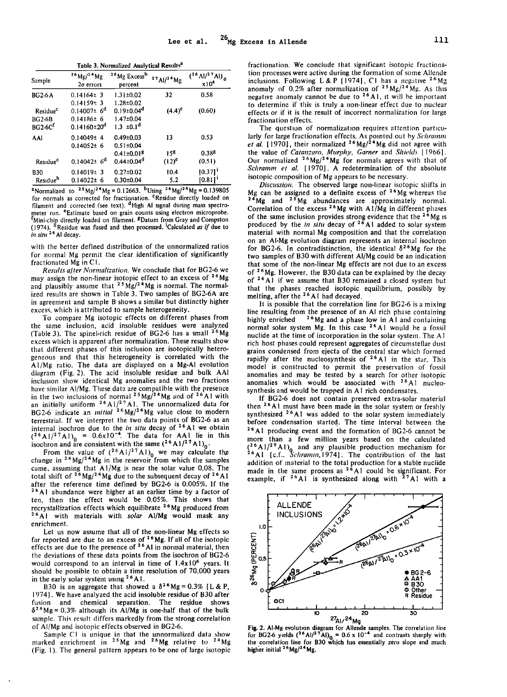Table 3, Normalized Analytical Results<sup>a</sup>

| Sample                                             | $^{26}$ Mg/ <sup>24</sup> Mg<br>$2\sigma$ errors             | <sup>26</sup> Mg Excess <sup>b</sup><br>percent              | $27$ Al/ $24$ Mg | $({}^{26}$ Al/ <sup>2 7</sup> Al) <sub>0</sub><br>x10 <sup>4</sup> |
|----------------------------------------------------|--------------------------------------------------------------|--------------------------------------------------------------|------------------|--------------------------------------------------------------------|
| <b>BG2-6A</b>                                      | $0.14164 \pm 3$<br>$0.14159 + 3$                             | $1.31 \pm 0.02$<br>$1.28 \pm 0.02$                           | 32               | 0.58                                                               |
| Residue <sup>c</sup><br><b>BG2-6B</b><br>$BG2-6Cf$ | $0.14007 \pm 6^d$<br>$0.14186 \pm 6$<br>$0.14160 \pm 20^{d}$ | $0.19 \pm 0.04^d$<br>1.47±0.04<br>$1.3 \pm 0.1$ <sup>d</sup> | $(4.4)^e$        | (0.60)                                                             |
| AAI                                                | $0.14049 \pm 4$<br>$0.14052 \pm 6$                           | $0.49 \pm 0.03$<br>$0.51 \pm 0.04$                           | 13               | 0.53                                                               |
| Residue <sup>c</sup>                               | $0.14042 \pm 6^d$                                            | $0.41 \pm 0.018$<br>$0.44 \pm 0.04$ <sup>d</sup>             | 158<br>$(12)^e$  | 0.388<br>(0.51)                                                    |
| <b>B30</b><br>Residue <sup>h</sup>                 | $0.14019 \pm 3$<br>$0.14022 \pm 6$                           | $0.27 \pm 0.02$<br>$0.30 + 0.04$                             | 10.4<br>5.2      | 10.371'<br>10.811'                                                 |

<sup>a</sup>Normalized to <sup>25</sup>Mg/<sup>24</sup>Mg = 0.12663. <sup>b</sup>Using <sup>26</sup>Mg/<sup>24</sup>Mg = 0.139805 for normals as corrected for fractionation. <sup>c</sup>Residue directly loaded on filament and corrected (see text). <sup>d</sup>High Al signal during mass spectrometer run. <sup>e</sup>Estimate based on grain counts using electron microprobe. Incident Unit, Estimate based on filament. EDatum from Gray and Compston<br>(1974). <sup>It</sup> Residue was fused and then processed. Calculated *as if* due to (1974). <sup>*ii*</sup> Residue<br>*in situ* <sup>26</sup> Al decay.

with the better defined distribution of the unnormalized ratios for normal Mg permit the clear identification of significantly fractionated Mg in C1.

Results after Normalization. We conclude that for BG2-6 we may assign the non-linear isotopic effect to an excess of <sup>26</sup>Mg and plausibly assume that  $2^5$  Mg/ $^2$ <sup>4</sup> Mg is normal. The normalized results are shown in Table 3. Two samples of BG2-6A are in agreement and sample B shows a similar but distinctly higher excess, which is attributed to sample heterogeneity.

To compare Mg isotopic effects on different phases from the same inclusion, acid insoluble residues were analyzed (Table 3). The spinel-rich residue of BG2-6 has a small <sup>26</sup>Mg excess which is apparent after normalization. These results show that different phases of this inclusion are isotopically heterogeneous and that this heterogeneity is correlated with the A1/Mg ratio. The data are displayed on a Mg-Al evolution diagram (Fig. 2). The acid insoluble residue and bulk AAI inclusion show identical Mg anomalies and the two fractions have similar Al/Mg. These data are compatible with the presence<br>in the two inclusions of normal <sup>25</sup> Mg/<sup>24</sup> Mg and of <sup>26</sup> Al with<br>an initially uniform <sup>26</sup> Al/<sup>27</sup> Al. The unnormalized data for<br>BG2-6 indicate an *initia* terrestrial. If we interpret the two data points of BG2-6 as an internal isochron due to the *in situ* decay of <sup>26</sup>A1 we obtain<br>(<sup>26</sup>A1/<sup>27</sup>A1)<sub>0</sub> = 0.6x10<sup>-4</sup>. The data for AA1 lie in this isochron and are consistent with the same  $({}^{26}$ A1/<sup>27</sup>A1)<sub>0</sub>.

From the value of  $({}^{26}\text{Al}/{}^{27}\text{Al})_0$  we may calculate the<br>change in  ${}^{26}\text{Mg}/{}^{24}\text{Mg}$  in the reservoir from which the samples came, assuming that A1/Mg is near the solar value 0.08. The total shift of  $2^6$ Mg/ $2^4$ Mg due to the subsequent decay of  $2^6$ Al after the reference time defined by BG2-6 is  $0.005\%$ . If the <sup>26</sup>A1 abundance were higher at an earlier time by a factor of ten, then the effect would be 0.05%. This shows that recrystallization effects which equilibrate <sup>26</sup> Mg produced from<br><sup>26</sup> A1 with materials with *solar* Al/Mg would mask any enrichment.

Let us now assume that all of the non-linear Mg effects so far reported are due to an excess of  $26$  Mg. If all of the isotopic effects are due to the presence of  $26$  Al in normal material, then the deviations of these data points from the isochron of BG2-6 would correspond to an interval in time of  $1.4x10^6$  years. It should be possible to obtain a time resolution of 70,000 years in the early solar system using  $26$ Al.

B30 is an aggregate that showed a  $\delta^{26}Mg = 0.3\%$  [L & P. 1974]. We have analyzed the acid insoluble residue of B30 after fusion and chemical separation. The residue shows  $\delta^{26}Mg = 0.3\%$  although its Al/Mg is one-half that of the bulk sample. This result differs markedly from the strong correlation of Al/Mg and isotopic effects observed in BG2-6.

Sample C1 is unique in that the unnormalized data show<br>marked enrichment in  $^{25}Mg$  and  $^{26}Mg$  relative to  $^{24}Mg$ (Fig. 1). The general pattern appears to be one of large isotopic

fractionation. We conclude that significant isotopic fractionation processes were active during the formation of some Allende inclusions. Following L & P [1974], C1 has a negative <sup>26</sup>Mg anomaly of 0.2% after normalization of  $25 \text{ Mg}/24 \text{ Mg}$ . As this negative anomaly cannot be due to <sup>26</sup>A1, it will be important to determine if this is truly a non-linear effect due to nuclear effects or if it is the result of incorrect normalization for large fractionation effects.

The question of normalization requires attention particularly for large fractionation effects. As pointed out by *Schramm* et al. [1970], their normalized <sup>26</sup>Mg/<sup>24</sup>Mg did not agree with the value of Catanzaro, Murphy, Garner and Shields [1966]. Our normalized  $26 \text{Mg}/24 \text{Mg}$  for normals agrees with that of Schramm et al. [1970]. A redetermination of the absolute isotopic composition of Mg appears to be necessary.

Discussion. The observed large non-linear isotopic shifts in Mg can be assigned to a definite excess of <sup>26</sup>Mg whereas the  $24 Mg$  and  $25 Mg$  abundances are approximately normal. Correlation of the excess  $26$ Mg with A1/Mg in different phases of the same inclusion provides strong evidence that the  $26$  Mg is<br>produced by the *in situ* decay of  $26$  A1 added to solar system material with normal Mg composition and that the correlation on an Al-Mg evolution diagram represents an internal isochron for BG2-6. In contradistinction, the identical  $\delta^{26}$ Mg for the two samples of B30 with different Al/Mg could be an indication that some of the non-linear Mg effects are not due to an excess of <sup>26</sup>Mg. However, the B30 data can be explained by the decay of <sup>26</sup>Al if we assume that B30 remained a closed system but that the phases reached isotopic equilibrium, possibly by melting, after the  $26$  A1 had decayed.

It is possible that the correlation line for BG2-6 is a mixing line resulting from the presence of an Al rich phase containing <sup>26</sup>Mg and a phase low in A1 and containing highly enriched normal solar system Mg. In this case <sup>26</sup>A1 would be a fossil nuclide at the time of incorporation in the solar system. The A1 rich host phases could represent aggregates of circumstellar dust grains condensed from ejecta of the central star which formed rapidly after the nucleosynthesis of <sup>26</sup>A1 in the star. This model is constructed to permit the preservation of fossil anomalies and may be tested by a search for other isotopic anomalies which would be associated with <sup>26</sup>A1 nucleosynthesis and would be trapped in A1 rich condensates.

If BG2-6 does not contain preserved extra-solar material then <sup>26</sup> A1 must have been made in the solar system or freshly synthesized <sup>26</sup>A1 was added to the solar system immediately before condensation started. The time interval between the  $26$  A1 producing event and the formation of BG2-6 cannot be more than a few million years based on the calculated  $(2<sup>6</sup>A1/2<sup>9</sup>A1)$ <sub>0</sub> and any plausible production mechanism for<br> $2<sup>6</sup>A1$  [c.f., *Schramm*, 1974]. The contribution of the last addition of material to the total production for a stable nuclide<br>made in the same process as  $2^6$  A1 could be significant. For<br>example, if  $2^6$  A1 is synthesized along with  $2^7$  A1 with a



Fig. 2. Al-Mg evolution diagram for Allende samples. The correlation line<br>for BG2-6 yields  $({}^{26}$ Al/ $^{27}$ Al)<sub>Q</sub> = 0.6 x 10<sup>-4</sup> and contrasts sharply with<br>the correlation line for B30 which has essentially zero slope an higher initial <sup>26</sup>Mg/<sup>24</sup>Mg.